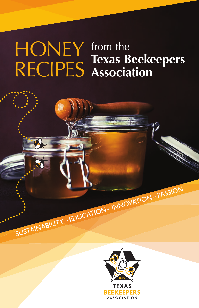#### from the **Texas Beekeepers Association** HONEY RECIPES

SUSTAINABILITY – EDUCATION – INNOVATION – PASSION

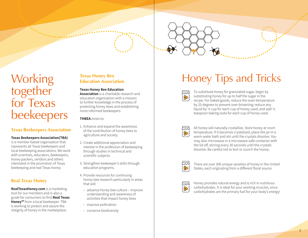

# together for Texas beekeepers

#### **Texas Beekeepers Association**

#### **Texas Beekeepers Association(TBA)**

is a member based organization that represents all Texas beekeepers and local beekeeping associations. We work with scientists, educators, beekeepers, honey packers, vendors and others interested in the promotion of Texas beekeeping and real Texas honey.

#### **Real Texas Honey**

**RealTexasHoney.com** is a marketing tool for our members and is also a guide for consumers to fi nd **Real Texas Honey™** from a local beekeeper. TBA is working to protect and assure the integrity of honey in the marketplace.

#### **Texas Honey Bee Education Association**

#### **Texas Honey Bee Education**

**Association** is a charitable research and education organization with a mission to further knowledge in the process of protecting honey bees and establishing more informed beekeepers.

**THBEA** exists to:

- 1. Enhance and expand the awareness of the contribution of honey bees to agriculture and society.
- 2. Create additional appreciation and interest in the profession of beekeeping through studies in technical and scientific subjects.
- 3. Strengthen beekeeper's skills through education programs.
- 4. Provide resources for continuing honey bee research particularly in areas that will:
	- advance honey bee culture improve understanding and awareness of activities that impact honey bees
	- improve pollination
	- conserve biodiversity

## Working Texas Honey Bee Honey Tips and Tricks

اجتما  $\overline{\circ}$ 

To substitute honey for granulated sugar, begin by substituting honey for up to half the sugar in the recipe. For baked goods, reduce the oven temperature by 25 degrees to prevent over-browning; reduce any liquid by ¼ cup for each cup of honey used; and add ½ teaspoon baking soda for each cup of honey used.



All honey will naturally crystallize. Store honey at room temperature. If it becomes crystalized, place the jar in a warm water bath and stir until the crystals dissolve. You may also microwave in a microwave-safe container with the lid off, stirring every 30 seconds until the crystals dissolve. Be careful not to boil or scorch the honey.



There are over 300 unique varieties of honey in the United States, each originating from a different floral source.



Honey provides natural energy and is rich in nutritious carbohydrates. It is ideal for your working muscles, since carbohydrates are the primary fuel for your body's energy!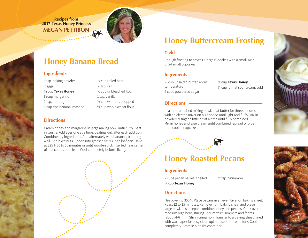**Recipes from 2017 Texas Honey Princess MEGAN PETTIBON**



### **Honey Banana Bread**

#### **Ingredients** *Ingredients* **Index <b>Index Ingredients** *Ingredients Ingredients*

| 1 tsp. baking powder          | 1/2 cup rolled oats                 |
|-------------------------------|-------------------------------------|
| 2 eggs                        | $\frac{1}{2}$ tsp. salt             |
| 1/2 cup Texas Honey           | 1/2 cup unbleached flour            |
| 1/ <sub>3</sub> cup margarine | 1 tsp. vanilla                      |
| 1 tsp. nutmeg                 | 1/2 cup walnuts, chopped            |
| 1 cup ripe banana, mashed     | $\frac{3}{4}$ cup whole wheat flour |

#### **Directions**

Cream honey and margarine in large mixing bowl until fluffy. Beat in vanilla. Add eggs one at a time, beating well after each addition. Combine dry ingredients. Add alternately with bananas, blending well. Stir in walnuts. Spoon into greased 9x5x3-inch loaf pan. Bake at 325°F 50 to 55 minutes or until wooden pick inserted near center of loaf comes out clean. Cool completely before slicing.

### **Honey Buttercream Frosting**

#### **Yield**

Enough frosting to cover 12 large cupcakes with a small swirl, or 24 small cupcakes.

½ cup unsalted butter, room ¼ cup **Texas Honey** temperature 2 cups powdered sugar

¼ cup full-fat sour cream, cold

#### **Directions**

In a medium-sized mixing bowl, beat butter for three minutes with an electric mixer on high speed until light and fluffy. Mix in powdered sugar a little bit at a time until fully combined. Mix in honey and sour cream until combined. Spread or pipe onto cooled cupcakes.

## **Honey Roasted Pecans**

#### **Ingredients**

2 cups pecan halves, shelled ½ tsp. cinnamon ¼ cup **Texas Honey**

### **Directions**

Heat oven to 350°F. Place pecans in an even layer on baking sheet. Roast 12 to 15 minutes. Remove from baking sheet and place in large bowl. In saucepan combine honey and pecans. Cook over medium high heat, stirring until mixture simmers and foams (about 4-6 min). Stir in cinnamon. Transfer to a baking sheet (lined with wax paper for easy clean up) and separate with fork. Cool completely. Store in air tight container.



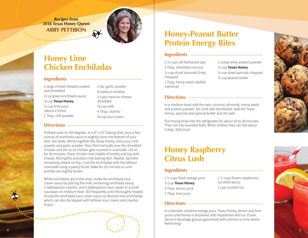**Recipes from 2018 Texas Honey Queen ABBY PETTIBON**



### **Honey Lime Chicken Enchiladas**

#### **Ingredients**

2 large chicken breasts cooked and shredded 12 oz green enchilada sauce <sup>1</sup>/<sub>3</sub> cup **Texas Honey** ¼ cup lime juice (about 2 limes) 1 Tbsp. chili powder

8 medium tortillas 2 cups mexican cheese shredded ¾ cup milk 4 Tbsp. cilantro 1/<sub>3</sub> cup sour cream

1 tsp. garlic powder

#### **Directions**

Preheat oven to 350 degrees. In a 9" x 13" baking dish, pour a few ounces of enchilada sauce to slightly cover the bottom of your dish. Set aside. Whisk together the Texas Honey, lime juice, chili powder and garlic powder. Pour this marinade over the shredded chicken and stir so all chicken gets covered in marinade. Let sit for 30 minutes. Place chicken into middle of tortilla and top with cheese. Roll tightly and place into baking dish. Repeat. Sprinkle remaining cheese on top. Coat the enchiladas with the leftover marinade using a pastry brush. Bake for 20 minutes or until tortillas are slightly brown.

While enchiladas are in the oven, make the enchilada sour cream sauce by placing the milk, remaining enchilada sauce, 2 tablespoons cilantro, and 2 tablespoons sour cream in a small saucepan on medium heat. Stir frequently until thoroughly heated. Drizzle the enchilada sour cream sauce as desired onto enchiladas which can also be topped with leftover sour cream and cilantro. Enjoy!

### **Honey-Peanut Butter Protein Energy Bites**

#### **Ingredients**

1 ¼ cups old fashioned oats 3 Tbsp. shredded coconut  $\frac{1}{2}$  cup sliced almonds finely chopped 1 Tbsp. hemp seeds shelled (optional)

1 scoop whey protein powder ½ cup **Texas Honey** ½ cup dried apricots chopped ½ cup peanut butter

#### **Directions**

In a medium bowl add the oats, coconut, almonds, hemp seeds and protein powder. Stir until well distributed. Add the Texas Honey, apricots and peanut butter and stir well.

Put mixing bowl into the refrigerator for about 20 to 30 minutes. Then roll into rounded balls. When chilled, they can last about 5 days. Delicious!

### **Honey Raspberry Citrus Lush**

#### **Ingredients**

1 ½ cups fresh orange juice ½ cup **Texas Honey** 2 Tbsp. lemon juice 2 Tbsp. lime juice

1 ½ cups frozen raspberries (or other berry) 1 cup crushed ice

#### **Directions**

In a blender, combine orange juice, Texas Honey, lemon and lime juices until honey is dissolved. Add raspberries and ice. Puree. Serve in beverage glasses garnished with a lemon or lime wheel. Refreshing!

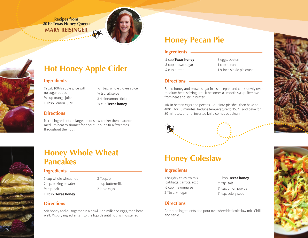**Recipes from 2019 Texas Honey Queen MARY REISINGER**







#### **Ingredients**

½ gal. 100% apple juice with no sugar added ¼ cup orange juice 1 Tbsp. lemon juice

½ Tbsp. whole cloves spice ¼ tsp. all spice 3-4 cinnamon sticks ½ cup **Texas honey**

#### **Directions**

Mix all ingredients in large pot or slow cooker then place on medium heat to simmer for about 1 hour. Stir a few times throughout the hour.



### **Honey Whole Wheat Pancakes**

#### **Ingredients**

- 1 cup whole wheat flour 2 tsp. baking powder ½ tsp. salt 1 Tbsp. **Texas honey**
- 3 Tbsp. oil 1 cup buttermilk 2 large eggs

#### **Directions**

Stir honey and oil together in a bowl. Add milk and eggs, then beat well. Mix dry ingredients into the liquids until flour is moistened.

## **Honey Pecan Pie**

#### **Ingredients**

½ cup **Texas honey** ½ cup brown sugar ¼ cup butter

3 eggs, beaten 1 cup pecans 1 9-inch single pie crust

#### **Directions**

Blend honey and brown sugar in a saucepan and cook slowly over medium heat, stirring until it becomes a smooth syrup. Remove from heat and stir in butter.

Mix in beaten eggs and pecans. Pour into pie shell then bake at 400° F for 10 minutes. Reduce temperature to 350° F and bake for 30 minutes, or until inserted knife comes out clean.

### **Honey Coleslaw**

#### **Ingredients**

1 bag dry coleslaw mix (cabbage, carrots, etc.) ½ cup mayonnaise 2 Tbsp. vinegar

3 Tbsp. **Texas honey** ½ tsp. salt ¼ tsp. onion powder ¼ tsp. celery seed

#### **Directions**

Combine ingredients and pour over shredded coleslaw mix. Chill and serve.

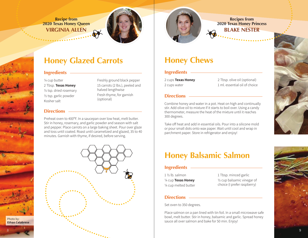**Recipe from 2020 Texas Honey Queen VIRGINIA ALLEN**



### **Honey Glazed Carrots**

### **Ingredients**

¼ cup butter 2 Tbsp. **Texas Honey**

½ tsp. dried rosemary ½ tsp. garlic powder Kosher salt

Freshly ground black pepper 15 carrots (2 lbs.), peeled and halved lengthwise Fresh thyme, for garnish (optional)

#### **Directions**

Photo by: **Ethan Calabrese**

Preheat oven to 400ºF. In a saucepan over low heat, melt butter. Stir in honey, rosemary, and garlic powder and season with salt and pepper. Place carrots on a large baking sheet. Pour over glaze and toss until coated. Roast until caramelized and glazed, 35 to 40 minutes. Garnish with thyme, if desired, before serving.



**Recipes from 2020 Texas Honey Princess BLAKE NESTER**

### **Honey Chews**

### **Ingredients**

2 cups **Texas Honey** 2 cups water

2 Tbsp. olive oil (optional) 1 ml. essential oil of choice

#### **Directions**

Combine honey and water in a pot. Heat on high and continually stir. Add olive oil to mixture if it starts to boil over. Using a candy thermometer, measure the heat of the mixture until it reaches 300 degrees.

Take off heat and add in essential oils. Pour into a silicone mold or pour small dots onto wax paper. Wait until cool and wrap in parchment paper. Store in refrigerator and enjoy!

### **Honey Balsamic Salmon**

### **Ingredients**

1 ½ lb. salmon ¼ cup **Texas Honey** ¼ cup melted butter 1 Tbsp. minced garlic ½ cup balsamic vinegar of choice (I prefer raspberry)

#### **Directions**

Set oven to 350 degrees.

Place salmon on a pan lined with tin foil. In a small microwave safe bowl, melt butter. Stir in honey, balsamic and garlic. Spread honey sauce all over salmon and bake for 50 min. Enjoy!